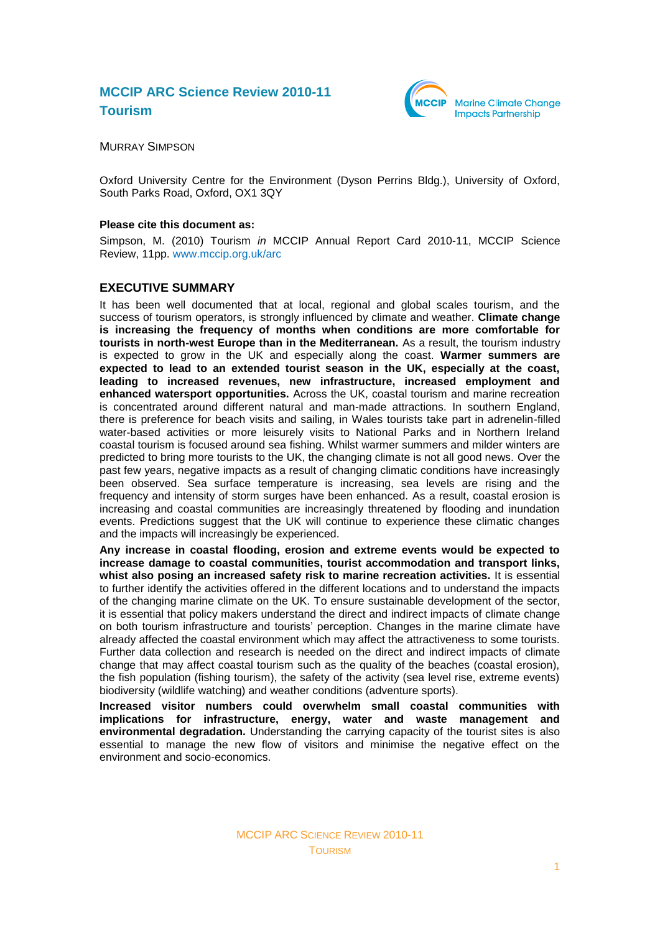# **MCCIP ARC Science Review 2010-11 Tourism**



MURRAY SIMPSON

Oxford University Centre for the Environment (Dyson Perrins Bldg.), University of Oxford, South Parks Road, Oxford, OX1 3QY

#### **Please cite this document as:**

Simpson, M. (2010) Tourism *in* MCCIP Annual Report Card 2010-11, MCCIP Science Review, 11pp. [www.mccip.org.uk/arc](http://www.mccip.org.uk/arc)

### **EXECUTIVE SUMMARY**

It has been well documented that at local, regional and global scales tourism, and the success of tourism operators, is strongly influenced by climate and weather. **Climate change is increasing the frequency of months when conditions are more comfortable for tourists in north-west Europe than in the Mediterranean.** As a result, the tourism industry is expected to grow in the UK and especially along the coast. **Warmer summers are expected to lead to an extended tourist season in the UK, especially at the coast, leading to increased revenues, new infrastructure, increased employment and enhanced watersport opportunities.** Across the UK, coastal tourism and marine recreation is concentrated around different natural and man-made attractions. In southern England, there is preference for beach visits and sailing, in Wales tourists take part in adrenelin-filled water-based activities or more leisurely visits to National Parks and in Northern Ireland coastal tourism is focused around sea fishing. Whilst warmer summers and milder winters are predicted to bring more tourists to the UK, the changing climate is not all good news. Over the past few years, negative impacts as a result of changing climatic conditions have increasingly been observed. Sea surface temperature is increasing, sea levels are rising and the frequency and intensity of storm surges have been enhanced. As a result, coastal erosion is increasing and coastal communities are increasingly threatened by flooding and inundation events. Predictions suggest that the UK will continue to experience these climatic changes and the impacts will increasingly be experienced.

**Any increase in coastal flooding, erosion and extreme events would be expected to increase damage to coastal communities, tourist accommodation and transport links, whist also posing an increased safety risk to marine recreation activities.** It is essential to further identify the activities offered in the different locations and to understand the impacts of the changing marine climate on the UK. To ensure sustainable development of the sector, it is essential that policy makers understand the direct and indirect impacts of climate change on both tourism infrastructure and tourists' perception. Changes in the marine climate have already affected the coastal environment which may affect the attractiveness to some tourists. Further data collection and research is needed on the direct and indirect impacts of climate change that may affect coastal tourism such as the quality of the beaches (coastal erosion), the fish population (fishing tourism), the safety of the activity (sea level rise, extreme events) biodiversity (wildlife watching) and weather conditions (adventure sports).

**Increased visitor numbers could overwhelm small coastal communities with implications for infrastructure, energy, water and waste management and environmental degradation.** Understanding the carrying capacity of the tourist sites is also essential to manage the new flow of visitors and minimise the negative effect on the environment and socio-economics.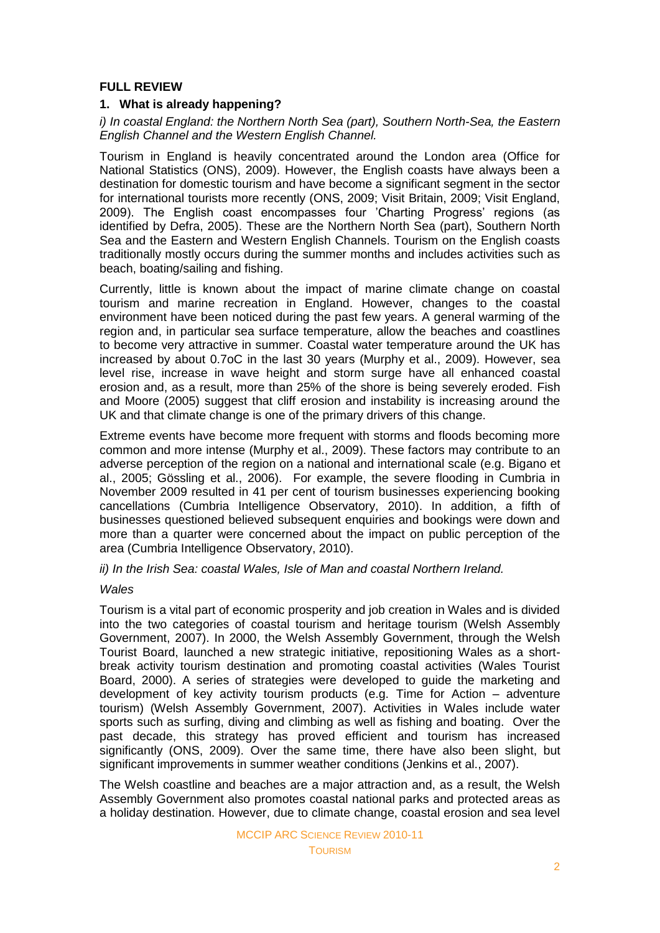## **FULL REVIEW**

## **1. What is already happening?**

## *i) In coastal England: the Northern North Sea (part), Southern North-Sea, the Eastern English Channel and the Western English Channel.*

Tourism in England is heavily concentrated around the London area (Office for National Statistics (ONS), 2009). However, the English coasts have always been a destination for domestic tourism and have become a significant segment in the sector for international tourists more recently (ONS, 2009; Visit Britain, 2009; Visit England, 2009). The English coast encompasses four 'Charting Progress' regions (as identified by Defra, 2005). These are the Northern North Sea (part), Southern North Sea and the Eastern and Western English Channels. Tourism on the English coasts traditionally mostly occurs during the summer months and includes activities such as beach, boating/sailing and fishing.

Currently, little is known about the impact of marine climate change on coastal tourism and marine recreation in England. However, changes to the coastal environment have been noticed during the past few years. A general warming of the region and, in particular sea surface temperature, allow the beaches and coastlines to become very attractive in summer. Coastal water temperature around the UK has increased by about 0.7oC in the last 30 years (Murphy et al., 2009). However, sea level rise, increase in wave height and storm surge have all enhanced coastal erosion and, as a result, more than 25% of the shore is being severely eroded. Fish and Moore (2005) suggest that cliff erosion and instability is increasing around the UK and that climate change is one of the primary drivers of this change.

Extreme events have become more frequent with storms and floods becoming more common and more intense (Murphy et al., 2009). These factors may contribute to an adverse perception of the region on a national and international scale (e.g. Bigano et al., 2005; Gössling et al., 2006). For example, the severe flooding in Cumbria in November 2009 resulted in 41 per cent of tourism businesses experiencing booking cancellations (Cumbria Intelligence Observatory, 2010). In addition, a fifth of businesses questioned believed subsequent enquiries and bookings were down and more than a quarter were concerned about the impact on public perception of the area (Cumbria Intelligence Observatory, 2010).

## *ii) In the Irish Sea: coastal Wales, Isle of Man and coastal Northern Ireland.*

## *Wales*

Tourism is a vital part of economic prosperity and job creation in Wales and is divided into the two categories of coastal tourism and heritage tourism (Welsh Assembly Government, 2007). In 2000, the Welsh Assembly Government, through the Welsh Tourist Board, launched a new strategic initiative, repositioning Wales as a shortbreak activity tourism destination and promoting coastal activities (Wales Tourist Board, 2000). A series of strategies were developed to guide the marketing and development of key activity tourism products (e.g. [Time for Action –](http://wales.gov.uk/docs/drah/publications/Tourism/090331adventureeng.pdf) adventure [tourism\)](http://wales.gov.uk/docs/drah/publications/Tourism/090331adventureeng.pdf) (Welsh Assembly Government, 2007). Activities in Wales include water sports such as surfing, diving and climbing as well as fishing and boating. Over the past decade, this strategy has proved efficient and tourism has increased significantly (ONS, 2009). Over the same time, there have also been slight, but significant improvements in summer weather conditions (Jenkins et al., 2007).

The Welsh coastline and beaches are a major attraction and, as a result, the Welsh Assembly Government also promotes coastal national parks and protected areas as a holiday destination. However, due to climate change, coastal erosion and sea level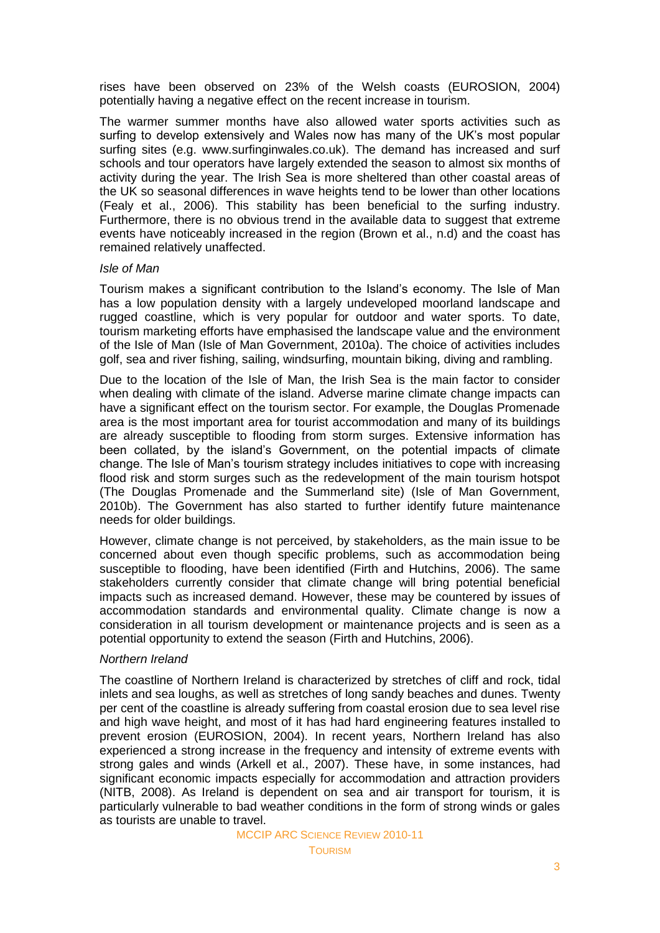rises have been observed on 23% of the Welsh coasts (EUROSION, 2004) potentially having a negative effect on the recent increase in tourism.

The warmer summer months have also allowed water sports activities such as surfing to develop extensively and Wales now has many of the UK's most popular surfing sites (e.g. www.surfinginwales.co.uk). The demand has increased and surf schools and tour operators have largely extended the season to almost six months of activity during the year. The Irish Sea is more sheltered than other coastal areas of the UK so seasonal differences in wave heights tend to be lower than other locations (Fealy et al., 2006). This stability has been beneficial to the surfing industry. Furthermore, there is no obvious trend in the available data to suggest that extreme events have noticeably increased in the region (Brown et al., n.d) and the coast has remained relatively unaffected.

#### *Isle of Man*

Tourism makes a significant contribution to the Island's economy. The Isle of Man has a low population density with a largely undeveloped moorland landscape and rugged coastline, which is very popular for outdoor and water sports. To date, tourism marketing efforts have emphasised the landscape value and the environment of the Isle of Man (Isle of Man Government, 2010a). The choice of activities includes golf, sea and river fishing, sailing, windsurfing, mountain biking, diving and rambling.

Due to the location of the Isle of Man, the Irish Sea is the main factor to consider when dealing with climate of the island. Adverse marine climate change impacts can have a significant effect on the tourism sector. For example, the Douglas Promenade area is the most important area for tourist accommodation and many of its buildings are already susceptible to flooding from storm surges. Extensive information has been collated, by the island's Government, on the potential impacts of climate change. The Isle of Man's tourism strategy includes initiatives to cope with increasing flood risk and storm surges such as the redevelopment of the main tourism hotspot (The Douglas Promenade and the Summerland site) (Isle of Man Government, 2010b). The Government has also started to further identify future maintenance needs for older buildings.

However, climate change is not perceived, by stakeholders, as the main issue to be concerned about even though specific problems, such as accommodation being susceptible to flooding, have been identified (Firth and Hutchins, 2006). The same stakeholders currently consider that climate change will bring potential beneficial impacts such as increased demand. However, these may be countered by issues of accommodation standards and environmental quality. Climate change is now a consideration in all tourism development or maintenance projects and is seen as a potential opportunity to extend the season (Firth and Hutchins, 2006).

### *Northern Ireland*

The coastline of Northern Ireland is characterized by stretches of cliff and rock, tidal inlets and sea loughs, as well as stretches of long sandy beaches and dunes. Twenty per cent of the coastline is already suffering from coastal erosion due to sea level rise and high wave height, and most of it has had hard engineering features installed to prevent erosion (EUROSION, 2004). In recent years, Northern Ireland has also experienced a strong increase in the frequency and intensity of extreme events with strong gales and winds (Arkell et al., 2007). These have, in some instances, had significant economic impacts especially for accommodation and attraction providers (NITB, 2008). As Ireland is dependent on sea and air transport for tourism, it is particularly vulnerable to bad weather conditions in the form of strong winds or gales as tourists are unable to travel.

MCCIP ARC SCIENCE REVIEW 2010-11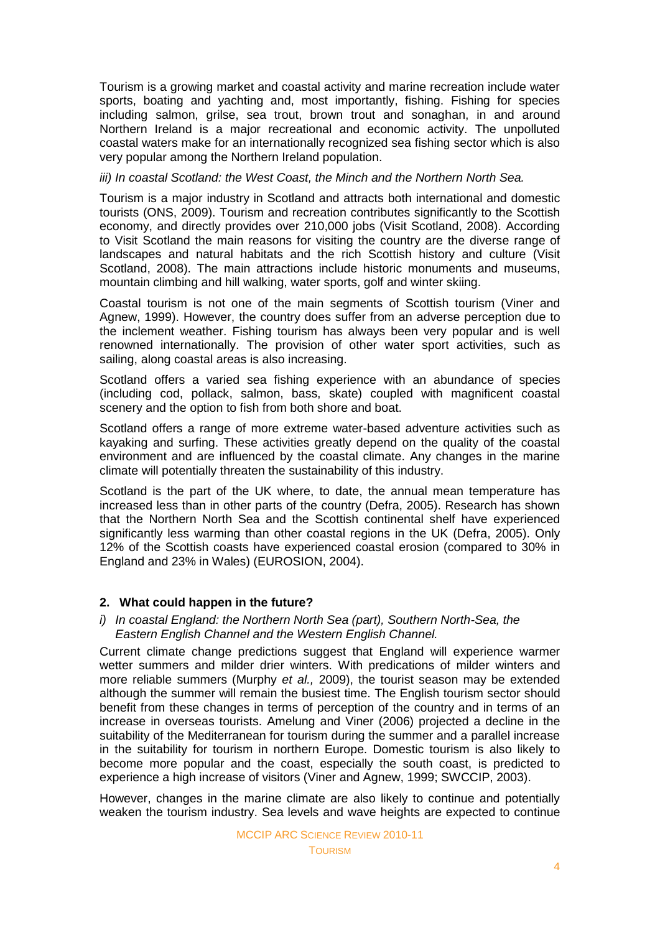Tourism is a growing market and coastal activity and marine recreation include water sports, boating and yachting and, most importantly, fishing. Fishing for species including salmon, grilse, sea trout, brown trout and sonaghan, in and around Northern Ireland is a major recreational and economic activity. The unpolluted coastal waters make for an internationally recognized sea fishing sector which is also very popular among the Northern Ireland population.

## *iii) In coastal Scotland: the West Coast, the Minch and the Northern North Sea.*

Tourism is a major industry in Scotland and attracts both international and domestic tourists (ONS, 2009). Tourism and recreation contributes significantly to the Scottish economy, and directly provides over 210,000 jobs (Visit Scotland, 2008). According to Visit Scotland the main reasons for visiting the country are the diverse range of landscapes and natural habitats and the rich Scottish history and culture (Visit Scotland, 2008). The main attractions include historic monuments and museums, mountain climbing and hill walking, water sports, golf and winter skiing.

Coastal tourism is not one of the main segments of Scottish tourism (Viner and Agnew, 1999). However, the country does suffer from an adverse perception due to the inclement weather. Fishing tourism has always been very popular and is well renowned internationally. The provision of other water sport activities, such as sailing, along coastal areas is also increasing.

Scotland offers a varied sea fishing experience with an abundance of species (including cod, pollack, salmon, bass, skate) coupled with magnificent coastal scenery and the option to fish from both shore and boat.

Scotland offers a range of more extreme water-based adventure activities such as kayaking and surfing. These activities greatly depend on the quality of the coastal environment and are influenced by the coastal climate. Any changes in the marine climate will potentially threaten the sustainability of this industry.

Scotland is the part of the UK where, to date, the annual mean temperature has increased less than in other parts of the country (Defra, 2005). Research has shown that the Northern North Sea and the Scottish continental shelf have experienced significantly less warming than other coastal regions in the UK (Defra, 2005). Only 12% of the Scottish coasts have experienced coastal erosion (compared to 30% in England and 23% in Wales) (EUROSION, 2004).

### **2. What could happen in the future?**

*i) In coastal England: the Northern North Sea (part), Southern North-Sea, the Eastern English Channel and the Western English Channel.*

Current climate change predictions suggest that England will experience warmer wetter summers and milder drier winters. With predications of milder winters and more reliable summers (Murphy *et al.,* 2009), the tourist season may be extended although the summer will remain the busiest time. The English tourism sector should benefit from these changes in terms of perception of the country and in terms of an increase in overseas tourists. Amelung and Viner (2006) projected a decline in the suitability of the Mediterranean for tourism during the summer and a parallel increase in the suitability for tourism in northern Europe. Domestic tourism is also likely to become more popular and the coast, especially the south coast, is predicted to experience a high increase of visitors (Viner and Agnew, 1999; SWCCIP, 2003).

However, changes in the marine climate are also likely to continue and potentially weaken the tourism industry. Sea levels and wave heights are expected to continue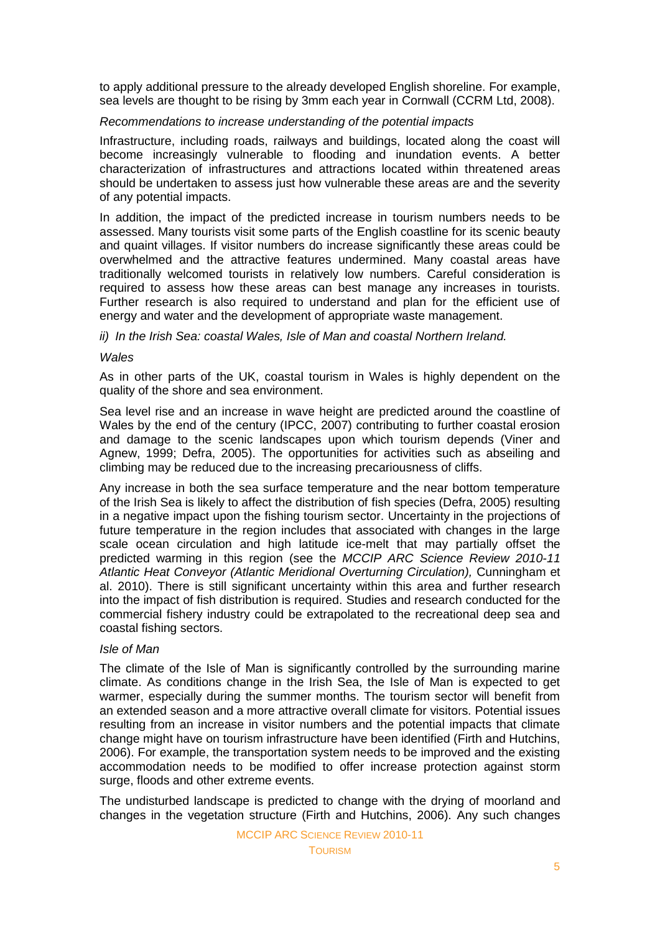to apply additional pressure to the already developed English shoreline. For example, sea levels are thought to be rising by 3mm each year in Cornwall (CCRM Ltd, 2008).

### *Recommendations to increase understanding of the potential impacts*

Infrastructure, including roads, railways and buildings, located along the coast will become increasingly vulnerable to flooding and inundation events. A better characterization of infrastructures and attractions located within threatened areas should be undertaken to assess just how vulnerable these areas are and the severity of any potential impacts.

In addition, the impact of the predicted increase in tourism numbers needs to be assessed. Many tourists visit some parts of the English coastline for its scenic beauty and quaint villages. If visitor numbers do increase significantly these areas could be overwhelmed and the attractive features undermined. Many coastal areas have traditionally welcomed tourists in relatively low numbers. Careful consideration is required to assess how these areas can best manage any increases in tourists. Further research is also required to understand and plan for the efficient use of energy and water and the development of appropriate waste management.

## *ii) In the Irish Sea: coastal Wales, Isle of Man and coastal Northern Ireland.*

### *Wales*

As in other parts of the UK, coastal tourism in Wales is highly dependent on the quality of the shore and sea environment.

Sea level rise and an increase in wave height are predicted around the coastline of Wales by the end of the century (IPCC, 2007) contributing to further coastal erosion and damage to the scenic landscapes upon which tourism depends (Viner and Agnew, 1999; Defra, 2005). The opportunities for activities such as abseiling and climbing may be reduced due to the increasing precariousness of cliffs.

Any increase in both the sea surface temperature and the near bottom temperature of the Irish Sea is likely to affect the distribution of fish species (Defra, 2005) resulting in a negative impact upon the fishing tourism sector. Uncertainty in the projections of future temperature in the region includes that associated with changes in the large scale ocean circulation and high latitude ice-melt that may partially offset the predicted warming in this region (see the *MCCIP ARC Science Review 2010-11 Atlantic Heat Conveyor (Atlantic Meridional Overturning Circulation),* Cunningham et al. 2010). There is still significant uncertainty within this area and further research into the impact of fish distribution is required. Studies and research conducted for the commercial fishery industry could be extrapolated to the recreational deep sea and coastal fishing sectors.

## *Isle of Man*

The climate of the Isle of Man is significantly controlled by the surrounding marine climate. As conditions change in the Irish Sea, the Isle of Man is expected to get warmer, especially during the summer months. The tourism sector will benefit from an extended season and a more attractive overall climate for visitors. Potential issues resulting from an increase in visitor numbers and the potential impacts that climate change might have on tourism infrastructure have been identified (Firth and Hutchins, 2006). For example, the transportation system needs to be improved and the existing accommodation needs to be modified to offer increase protection against storm surge, floods and other extreme events.

The undisturbed landscape is predicted to change with the drying of moorland and changes in the vegetation structure (Firth and Hutchins, 2006). Any such changes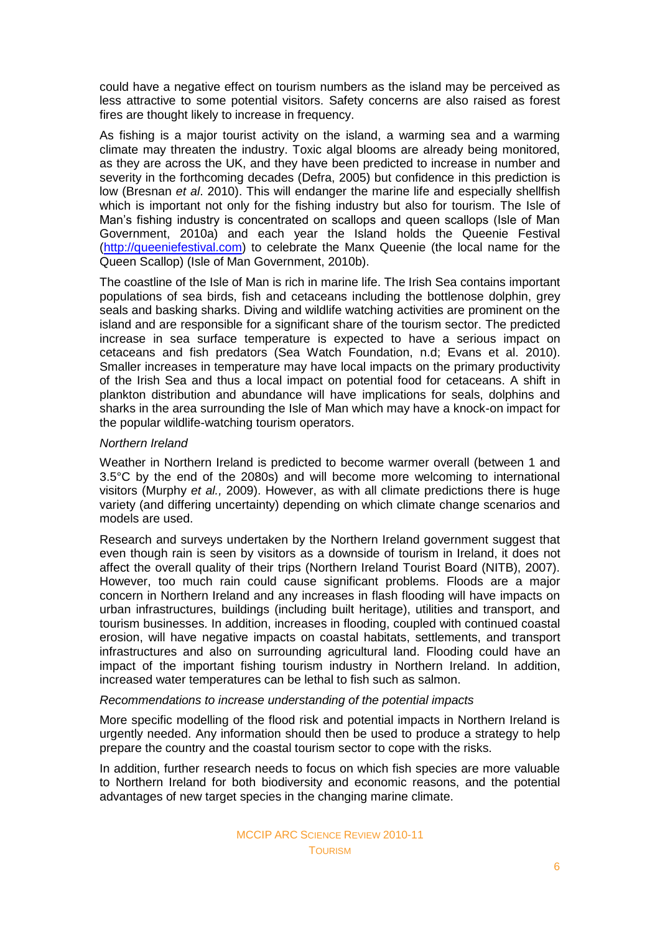could have a negative effect on tourism numbers as the island may be perceived as less attractive to some potential visitors. Safety concerns are also raised as forest fires are thought likely to increase in frequency.

As fishing is a major tourist activity on the island, a warming sea and a warming climate may threaten the industry. Toxic algal blooms are already being monitored, as they are across the UK, and they have been predicted to increase in number and severity in the forthcoming decades (Defra, 2005) but confidence in this prediction is low (Bresnan *et al*. 2010). This will endanger the marine life and especially shellfish which is important not only for the fishing industry but also for tourism. The Isle of Man's fishing industry is concentrated on scallops and queen scallops (Isle of Man Government, 2010a) and each year the Island holds the Queenie Festival [\(http://queeniefestival.com\)](http://queeniefestival.com/) to celebrate the Manx Queenie (the local name for the Queen Scallop) (Isle of Man Government, 2010b).

The coastline of the Isle of Man is rich in marine life. The Irish Sea contains important populations of sea birds, fish and cetaceans including the bottlenose dolphin, grey seals and basking sharks. Diving and wildlife watching activities are prominent on the island and are responsible for a significant share of the tourism sector. The predicted increase in sea surface temperature is expected to have a serious impact on cetaceans and fish predators (Sea Watch Foundation, n.d; Evans et al. 2010). Smaller increases in temperature may have local impacts on the primary productivity of the Irish Sea and thus a local impact on potential food for cetaceans. A shift in plankton distribution and abundance will have implications for seals, dolphins and sharks in the area surrounding the Isle of Man which may have a knock-on impact for the popular wildlife-watching tourism operators.

## *Northern Ireland*

Weather in Northern Ireland is predicted to become warmer overall (between 1 and 3.5°C by the end of the 2080s) and will become more welcoming to international visitors (Murphy *et al.,* 2009). However, as with all climate predictions there is huge variety (and differing uncertainty) depending on which climate change scenarios and models are used.

Research and surveys undertaken by the Northern Ireland government suggest that even though rain is seen by visitors as a downside of tourism in Ireland, it does not affect the overall quality of their trips (Northern Ireland Tourist Board (NITB), 2007). However, too much rain could cause significant problems. Floods are a major concern in Northern Ireland and any increases in flash flooding will have impacts on urban infrastructures, buildings (including built heritage), utilities and transport, and tourism businesses. In addition, increases in flooding, coupled with continued coastal erosion, will have negative impacts on coastal habitats, settlements, and transport infrastructures and also on surrounding agricultural land. Flooding could have an impact of the important fishing tourism industry in Northern Ireland. In addition, increased water temperatures can be lethal to fish such as salmon.

### *Recommendations to increase understanding of the potential impacts*

More specific modelling of the flood risk and potential impacts in Northern Ireland is urgently needed. Any information should then be used to produce a strategy to help prepare the country and the coastal tourism sector to cope with the risks.

In addition, further research needs to focus on which fish species are more valuable to Northern Ireland for both biodiversity and economic reasons, and the potential advantages of new target species in the changing marine climate.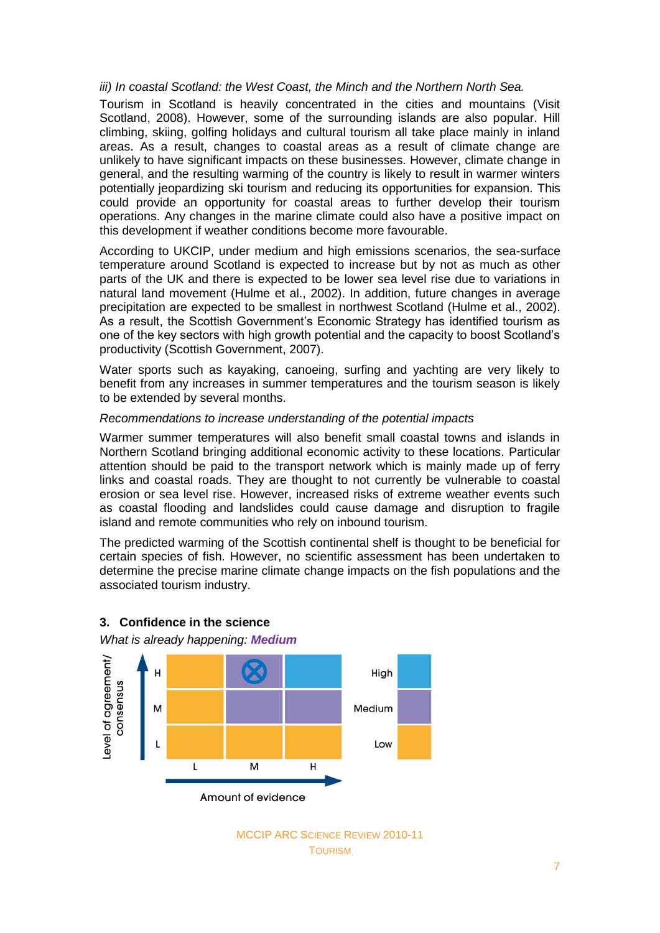### *iii) In coastal Scotland: the West Coast, the Minch and the Northern North Sea.*

Tourism in Scotland is heavily concentrated in the cities and mountains (Visit Scotland, 2008). However, some of the surrounding islands are also popular. Hill climbing, skiing, golfing holidays and cultural tourism all take place mainly in inland areas. As a result, changes to coastal areas as a result of climate change are unlikely to have significant impacts on these businesses. However, climate change in general, and the resulting warming of the country is likely to result in warmer winters potentially jeopardizing ski tourism and reducing its opportunities for expansion. This could provide an opportunity for coastal areas to further develop their tourism operations. Any changes in the marine climate could also have a positive impact on this development if weather conditions become more favourable.

According to UKCIP, under medium and high emissions scenarios, the sea-surface temperature around Scotland is expected to increase but by not as much as other parts of the UK and there is expected to be lower sea level rise due to variations in natural land movement (Hulme et al., 2002). In addition, future changes in average precipitation are expected to be smallest in northwest Scotland (Hulme et al., 2002). As a result, the Scottish Government's Economic Strategy has identified tourism as one of the key sectors with high growth potential and the capacity to boost Scotland's productivity (Scottish Government, 2007).

Water sports such as kayaking, canoeing, surfing and yachting are very likely to benefit from any increases in summer temperatures and the tourism season is likely to be extended by several months.

### *Recommendations to increase understanding of the potential impacts*

Warmer summer temperatures will also benefit small coastal towns and islands in Northern Scotland bringing additional economic activity to these locations. Particular attention should be paid to the transport network which is mainly made up of ferry links and coastal roads. They are thought to not currently be vulnerable to coastal erosion or sea level rise. However, increased risks of extreme weather events such as coastal flooding and landslides could cause damage and disruption to fragile island and remote communities who rely on inbound tourism.

The predicted warming of the Scottish continental shelf is thought to be beneficial for certain species of fish. However, no scientific assessment has been undertaken to determine the precise marine climate change impacts on the fish populations and the associated tourism industry.





*What is already happening: Medium*

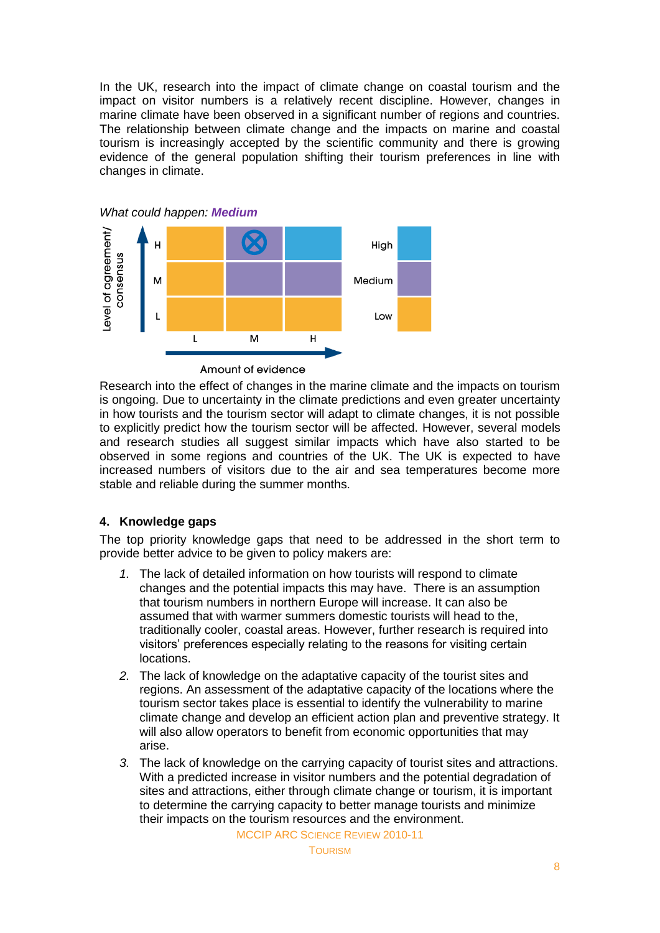In the UK, research into the impact of climate change on coastal tourism and the impact on visitor numbers is a relatively recent discipline. However, changes in marine climate have been observed in a significant number of regions and countries. The relationship between climate change and the impacts on marine and coastal tourism is increasingly accepted by the scientific community and there is growing evidence of the general population shifting their tourism preferences in line with changes in climate.



Research into the effect of changes in the marine climate and the impacts on tourism is ongoing. Due to uncertainty in the climate predictions and even greater uncertainty in how tourists and the tourism sector will adapt to climate changes, it is not possible to explicitly predict how the tourism sector will be affected. However, several models and research studies all suggest similar impacts which have also started to be observed in some regions and countries of the UK. The UK is expected to have increased numbers of visitors due to the air and sea temperatures become more stable and reliable during the summer months.

## **4. Knowledge gaps**

The top priority knowledge gaps that need to be addressed in the short term to provide better advice to be given to policy makers are:

- *1.* The lack of detailed information on how tourists will respond to climate changes and the potential impacts this may have. There is an assumption that tourism numbers in northern Europe will increase. It can also be assumed that with warmer summers domestic tourists will head to the, traditionally cooler, coastal areas. However, further research is required into visitors' preferences especially relating to the reasons for visiting certain locations.
- *2.* The lack of knowledge on the adaptative capacity of the tourist sites and regions. An assessment of the adaptative capacity of the locations where the tourism sector takes place is essential to identify the vulnerability to marine climate change and develop an efficient action plan and preventive strategy. It will also allow operators to benefit from economic opportunities that may arise.
- *3.* The lack of knowledge on the carrying capacity of tourist sites and attractions. With a predicted increase in visitor numbers and the potential degradation of sites and attractions, either through climate change or tourism, it is important to determine the carrying capacity to better manage tourists and minimize their impacts on the tourism resources and the environment.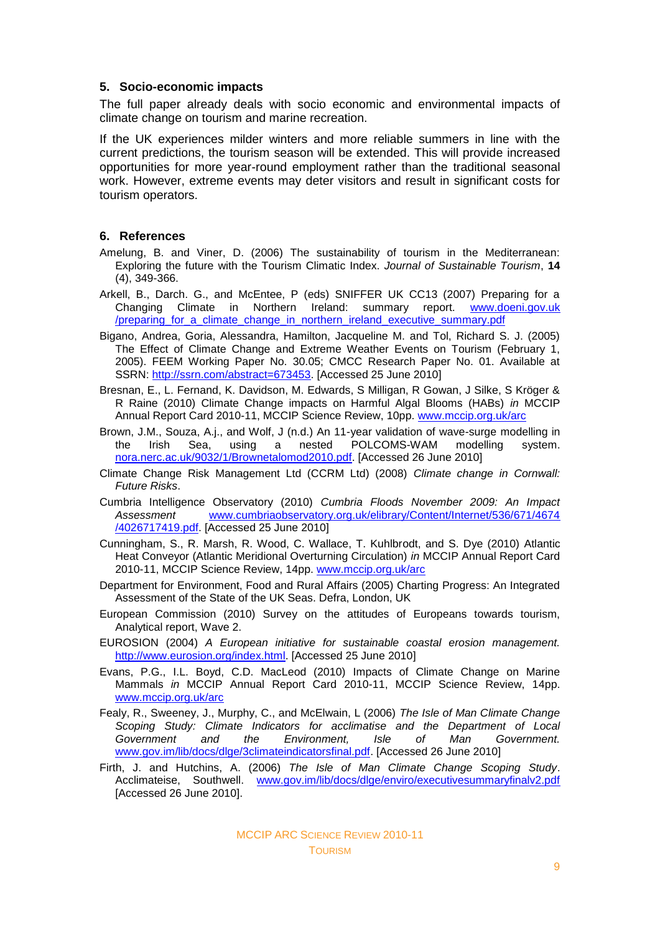## **5. Socio-economic impacts**

The full paper already deals with socio economic and environmental impacts of climate change on tourism and marine recreation.

If the UK experiences milder winters and more reliable summers in line with the current predictions, the tourism season will be extended. This will provide increased opportunities for more year-round employment rather than the traditional seasonal work. However, extreme events may deter visitors and result in significant costs for tourism operators.

## **6. References**

- Amelung, B. and Viner, D. (2006) The sustainability of tourism in the Mediterranean: Exploring the future with the Tourism Climatic Index. *Journal of Sustainable Tourism*, **14** (4), 349-366.
- Arkell, B., Darch. G., and McEntee, P (eds) SNIFFER UK CC13 (2007) Preparing for a Changing Climate in Northern Ireland: summary report. [www.doeni.gov.uk](www.doeni.gov.uk/preparing_for_a_climate_change_in_northern_ireland_executive_summary.pdf) [/preparing\\_for\\_a\\_climate\\_change\\_in\\_northern\\_ireland\\_executive\\_summary.pdf](www.doeni.gov.uk/preparing_for_a_climate_change_in_northern_ireland_executive_summary.pdf)
- Bigano, Andrea, Goria, Alessandra, Hamilton, Jacqueline M. and Tol, Richard S. J. (2005) The Effect of Climate Change and Extreme Weather Events on Tourism (February 1, 2005). FEEM Working Paper No. 30.05; CMCC Research Paper No. 01. Available at SSRN: [http://ssrn.com/abstract=673453.](http://ssrn.com/abstract=673453) [Accessed 25 June 2010]
- Bresnan, E., L. Fernand, K. Davidson, M. Edwards, S Milligan, R Gowan, J Silke, S Kröger & R Raine (2010) Climate Change impacts on Harmful Algal Blooms (HABs) *in* MCCIP Annual Report Card 2010-11, MCCIP Science Review, 10pp. [www.mccip.org.uk/arc](http://www.mccip.org.uk/arc)
- Brown, J.M., Souza, A.j., and Wolf, J (n.d.) An 11-year validation of wave-surge modelling in the Irish Sea, using a nested POLCOMS-WAM modelling system. [nora.nerc.ac.uk/9032/1/Brownetalomod2010.pdf.](http://nora.nerc.ac.uk/9032/1/Brownetalomod2010.pdf) [Accessed 26 June 2010]
- Climate Change Risk Management Ltd (CCRM Ltd) (2008) *Climate change in Cornwall: Future Risks*.
- Cumbria Intelligence Observatory (2010) *Cumbria Floods November 2009: An Impact Assessment* [www.cumbriaobservatory.org.uk/elibrary/Content/Internet/536/671/4674](http://www.cumbriaobservatory.org.uk/elibrary/Content/Internet/536/671/4674/4026717419.pdf) [/4026717419.pdf.](http://www.cumbriaobservatory.org.uk/elibrary/Content/Internet/536/671/4674/4026717419.pdf) [Accessed 25 June 2010]
- Cunningham, S., R. Marsh, R. Wood, C. Wallace, T. Kuhlbrodt, and S. Dye (2010) Atlantic Heat Conveyor (Atlantic Meridional Overturning Circulation) *in* MCCIP Annual Report Card 2010-11, MCCIP Science Review, 14pp. [www.mccip.org.uk/arc](http://www.mccip.org.uk/arc)
- Department for Environment, Food and Rural Affairs (2005) Charting Progress: An Integrated Assessment of the State of the UK Seas. Defra, London, UK
- European Commission (2010) Survey on the attitudes of Europeans towards tourism, Analytical report, Wave 2.
- EUROSION (2004) *A European initiative for sustainable coastal erosion management.*  [http://www.eurosion.org/index.html.](http://www.eurosion.org/index.html) [Accessed 25 June 2010]
- Evans, P.G., I.L. Boyd, C.D. MacLeod (2010) Impacts of Climate Change on Marine Mammals *in* MCCIP Annual Report Card 2010-11, MCCIP Science Review, 14pp. [www.mccip.org.uk/arc](http://www.mccip.org.uk/arc)
- Fealy, R., Sweeney, J., Murphy, C., and McElwain, L (2006) *The Isle of Man Climate Change Scoping Study: Climate Indicators for acclimatise and the Department of Local Government and the Environment, Isle of Man Government.*  [www.gov.im/lib/docs/dlge/3climateindicatorsfinal.pdf.](http://www.gov.im/lib/docs/dlge/3climateindicatorsfinal.pdf) [Accessed 26 June 2010]
- Firth, J. and Hutchins, A. (2006) *The Isle of Man Climate Change Scoping Study*. Acclimateise, Southwell. [www.gov.im/lib/docs/dlge/enviro/executivesummaryfinalv2.pdf](http://www.gov.im/lib/docs/dlge/enviro/executivesummaryfinalv2.pdf) [Accessed 26 June 2010].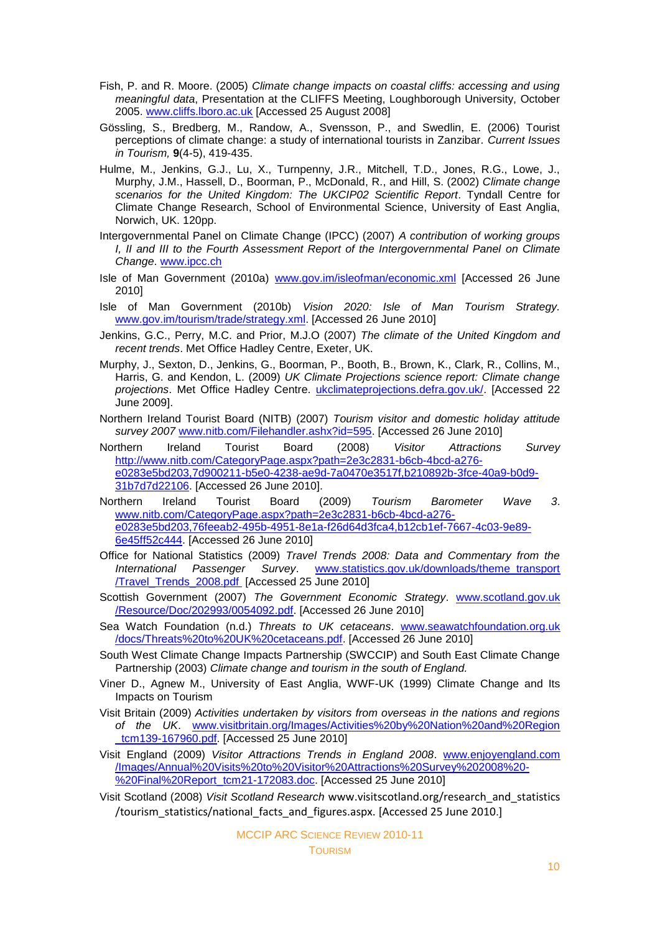- Fish, P. and R. Moore. (2005) *Climate change impacts on coastal cliffs: accessing and using meaningful data*, Presentation at the CLIFFS Meeting, Loughborough University, October 2005. [www.cliffs.lboro.ac.uk](http://www.cliffs.lboro.ac.uk/) [Accessed 25 August 2008]
- Gössling, S., Bredberg, M., Randow, A., Svensson, P., and Swedlin, E. (2006) Tourist perceptions of climate change: a study of international tourists in Zanzibar. *Current Issues in Tourism,* **9**(4-5), 419-435.
- Hulme, M., Jenkins, G.J., Lu, X., Turnpenny, J.R., Mitchell, T.D., Jones, R.G., Lowe, J., Murphy, J.M., Hassell, D., Boorman, P., McDonald, R., and Hill, S. (2002) *Climate change scenarios for the United Kingdom: The UKCIP02 Scientific Report*. Tyndall Centre for Climate Change Research, School of Environmental Science, University of East Anglia, Norwich, UK. 120pp.
- Intergovernmental Panel on Climate Change (IPCC) (2007) *A contribution of working groups I, II and III to the Fourth Assessment Report of the Intergovernmental Panel on Climate Change*. [www.ipcc.ch](http://www.ipcc.ch/)
- Isle of Man Government (2010a) [www.gov.im/isleofman/economic.xml](http://www.gov.im/isleofman/economic.xml) [Accessed 26 June 2010]
- Isle of Man Government (2010b) *Vision 2020: Isle of Man Tourism Strategy.*  [www.gov.im/tourism/trade/strategy.xml.](http://www.gov.im/tourism/trade/strategy.xml) [Accessed 26 June 2010]
- Jenkins, G.C., Perry, M.C. and Prior, M.J.O (2007) *The climate of the United Kingdom and recent trends*. Met Office Hadley Centre, Exeter, UK.
- Murphy, J., Sexton, D., Jenkins, G., Boorman, P., Booth, B., Brown, K., Clark, R., Collins, M., Harris, G. and Kendon, L. (2009) *UK Climate Projections science report: Climate change projections*. Met Office Hadley Centre. [ukclimateprojections.defra.gov.uk/.](http://ukclimateprojections.defra.gov.uk/) [Accessed 22 June 2009].
- Northern Ireland Tourist Board (NITB) (2007) *Tourism visitor and domestic holiday attitude survey 2007* [www.nitb.com/Filehandler.ashx?id=595.](http://www.nitb.com/Filehandler.ashx?id=595) [Accessed 26 June 2010]
- Northern Ireland Tourist Board (2008) *Visitor Attractions Survey* [http://www.nitb.com/CategoryPage.aspx?path=2e3c2831-b6cb-4bcd-a276](http://www.nitb.com/CategoryPage.aspx?path=2e3c2831-b6cb-4bcd-a276-e0283e5bd203,7d900211-b5e0-4238-ae9d-7a0470e3517f,b210892b-3fce-40a9-b0d9-31b7d7d22106) [e0283e5bd203,7d900211-b5e0-4238-ae9d-7a0470e3517f,b210892b-3fce-40a9-b0d9-](http://www.nitb.com/CategoryPage.aspx?path=2e3c2831-b6cb-4bcd-a276-e0283e5bd203,7d900211-b5e0-4238-ae9d-7a0470e3517f,b210892b-3fce-40a9-b0d9-31b7d7d22106) [31b7d7d22106.](http://www.nitb.com/CategoryPage.aspx?path=2e3c2831-b6cb-4bcd-a276-e0283e5bd203,7d900211-b5e0-4238-ae9d-7a0470e3517f,b210892b-3fce-40a9-b0d9-31b7d7d22106) [Accessed 26 June 2010].
- Northern Ireland Tourist Board (2009) *Tourism Barometer Wave 3*. [www.nitb.com/CategoryPage.aspx?path=2e3c2831-b6cb-4bcd-a276](http://www.nitb.com/CategoryPage.aspx?path=2e3c2831-b6cb-4bcd-a276-e0283e5bd203,76feeab2-495b-4951-8e1a-f26d64d3fca4,b12cb1ef-7667-4c03-9e89-6e45ff52c444) [e0283e5bd203,76feeab2-495b-4951-8e1a-f26d64d3fca4,b12cb1ef-7667-4c03-9e89-](http://www.nitb.com/CategoryPage.aspx?path=2e3c2831-b6cb-4bcd-a276-e0283e5bd203,76feeab2-495b-4951-8e1a-f26d64d3fca4,b12cb1ef-7667-4c03-9e89-6e45ff52c444) [6e45ff52c444.](http://www.nitb.com/CategoryPage.aspx?path=2e3c2831-b6cb-4bcd-a276-e0283e5bd203,76feeab2-495b-4951-8e1a-f26d64d3fca4,b12cb1ef-7667-4c03-9e89-6e45ff52c444) [Accessed 26 June 2010]
- Office for National Statistics (2009) *Travel Trends 2008: Data and Commentary from the International Passenger Survey*. [www.statistics.gov.uk/downloads/theme\\_transport](http://www.statistics.gov.uk/downloads/theme_transport/Travel_Trends_2008.pdf) [/Travel\\_Trends\\_2008.pdf](http://www.statistics.gov.uk/downloads/theme_transport/Travel_Trends_2008.pdf) [Accessed 25 June 2010]
- Scottish Government (2007) *The Government Economic Strategy*. www.scotland.gov.uk /Resource/Doc/202993/0054092.pdf. [Accessed 26 June 2010]
- Sea Watch Foundation (n.d.) *Threats to UK cetaceans*. www.seawatchfoundation.org.uk /docs/Threats%20to%20UK%20cetaceans.pdf. [Accessed 26 June 2010]
- South West Climate Change Impacts Partnership (SWCCIP) and South East Climate Change Partnership (2003) *Climate change and tourism in the south of England.*
- Viner D., Agnew M., University of East Anglia, WWF-UK (1999) Climate Change and Its Impacts on Tourism
- Visit Britain (2009) *Activities undertaken by visitors from overseas in the nations and regions of the UK*. [www.visitbritain.org/Images/Activities%20by%20Nation%20and%20Region](http://www.visitbritain.org/Images/Activities%20by%20Nation%20and%20Region%0b_tcm139-167960.pdf) [\\_tcm139-167960.pdf.](http://www.visitbritain.org/Images/Activities%20by%20Nation%20and%20Region%0b_tcm139-167960.pdf) [Accessed 25 June 2010]
- Visit England (2009) *Visitor Attractions Trends in England 2008*. www.enjoyengland.com /Images/Annual%20Visits%20to%20Visitor%20Attractions%20Survey%202008%20- %20Final%20Report\_tcm21-172083.doc. [Accessed 25 June 2010]
- Visit Scotland (2008) *Visit Scotland Research* www.visitscotland.org/research\_and\_statistics /tourism\_statistics/national\_facts\_and\_figures.aspx. [Accessed 25 June 2010.]

MCCIP ARC SCIENCE REVIEW 2010-11 **TOURISM**